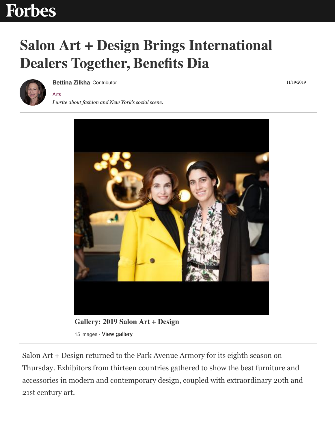## **Forbes**

## **Salon Art + Design Brings International [Deal](https://www.forbes.com/sites/bettinazilkha/)ers Together, Benefits Dia**



[Arts](https://www.forbes.com/arts)

**[Bettina Zilkha](https://www.forbes.com/sites/bettinazilkha/)** Contributor

11/19/2019

*I write about fashion and New York's social scene.*



**Gallery: 2019 Salon Art + Design** 15 images - View gallery

Salon Art + Design returned to the Park Avenue Armory for its eighth season on Thursday. Exhibitors from thirteen countries gathered to show the best furniture and [accessories in modern and contemporary design, coupled with extraordinary 20th and](https://www.forbes.com/pictures/5dcef9d72c886a0007ec3d7c/2019-salon-art--design/) 21st century art.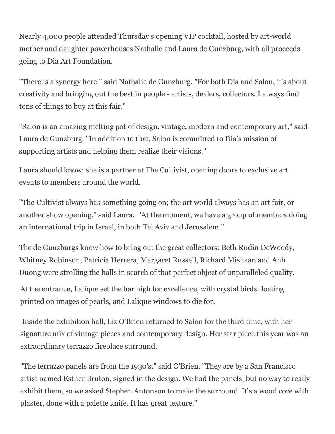Nearly 4,000 people attended Thursday's opening VIP cocktail, hosted by art-world [mother and daughter powerhouses Nathalie and Laura de Gunzburg, with all proceeds](https://www.forbes.com/pictures/5dcef9d72c886a0007ec3d7c/2019-salon-art--design/) going to Dia Art Foundation.

"There is a synergy here," said Nathalie de Gunzburg. "For both Dia and Salon, it's about creativity and bringing out the best in people - artists, dealers, collectors. I always find tons of things to buy at this fair."

"Salon is an amazing melting pot of design, vintage, modern and contemporary art," said Laura de Gunzburg. "In addition to that, Salon is committed to Dia's mission of supporting artists and helping them realize their visions."

Laura should know: she is a partner at The Cultivist, opening doors to exclusive art events to members around the world.

"The Cultivist always has something going on; the art world always has an art fair, or another show opening," said Laura. "At the moment, we have a group of members doing an international trip in Israel, in both Tel Aviv and Jerusalem."

The de Gunzburgs know how to bring out the great collectors: Beth Rudin DeWoody, Whitney Robinson, Patricia Herrera, Margaret Russell, Richard Mishaan and Anh Duong were strolling the halls in search of that perfect object of unparalleled quality.

At the entrance, Lalique set the bar high for excellence, with crystal birds floating printed on images of pearls, and Lalique windows to die for.

 Inside the exhibition hall, Liz O'Brien returned to Salon for the third time, with her signature mix of vintage pieces and contemporary design. Her star piece this year was an extraordinary terrazzo fireplace surround.

"The terrazzo panels are from the 1930's," said O'Brien. "They are by a San Francisco artist named Esther Bruton, signed in the design. We had the panels, but no way to really exhibit them, so we asked Stephen Antonson to make the surround. It's a wood core with plaster, done with a palette knife. It has great texture."